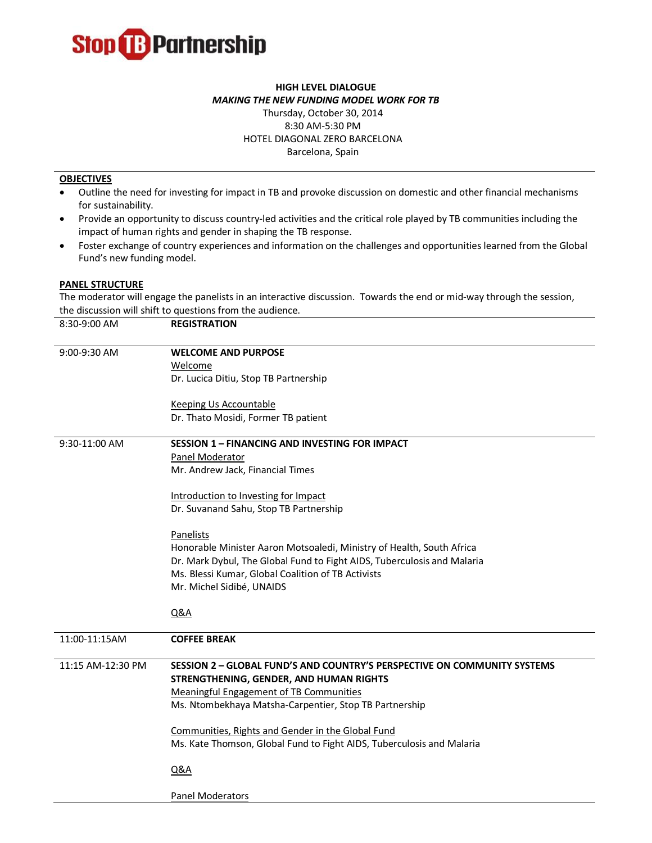

## **HIGH LEVEL DIALOGUE** *MAKING THE NEW FUNDING MODEL WORK FOR TB*

## Thursday, October 30, 2014 8:30 AM-5:30 PM HOTEL DIAGONAL ZERO BARCELONA Barcelona, Spain

## **OBJECTIVES**

- Outline the need for investing for impact in TB and provoke discussion on domestic and other financial mechanisms for sustainability.
- Provide an opportunity to discuss country-led activities and the critical role played by TB communities including the impact of human rights and gender in shaping the TB response.
- Foster exchange of country experiences and information on the challenges and opportunities learned from the Global Fund's new funding model.

## **PANEL STRUCTURE**

The moderator will engage the panelists in an interactive discussion. Towards the end or mid-way through the session, the discussion will shift to questions from the audience.

| 8:30-9:00 AM      | <b>REGISTRATION</b>                                                      |
|-------------------|--------------------------------------------------------------------------|
| 9:00-9:30 AM      | <b>WELCOME AND PURPOSE</b>                                               |
|                   | Welcome                                                                  |
|                   | Dr. Lucica Ditiu, Stop TB Partnership                                    |
|                   | <b>Keeping Us Accountable</b>                                            |
|                   | Dr. Thato Mosidi, Former TB patient                                      |
| 9:30-11:00 AM     | <b>SESSION 1 - FINANCING AND INVESTING FOR IMPACT</b>                    |
|                   | Panel Moderator                                                          |
|                   | Mr. Andrew Jack, Financial Times                                         |
|                   | Introduction to Investing for Impact                                     |
|                   | Dr. Suvanand Sahu, Stop TB Partnership                                   |
|                   | <b>Panelists</b>                                                         |
|                   | Honorable Minister Aaron Motsoaledi, Ministry of Health, South Africa    |
|                   | Dr. Mark Dybul, The Global Fund to Fight AIDS, Tuberculosis and Malaria  |
|                   | Ms. Blessi Kumar, Global Coalition of TB Activists                       |
|                   | Mr. Michel Sidibé, UNAIDS                                                |
|                   | <b>Q&amp;A</b>                                                           |
|                   |                                                                          |
| 11:00-11:15AM     | <b>COFFEE BREAK</b>                                                      |
| 11:15 AM-12:30 PM | SESSION 2 - GLOBAL FUND'S AND COUNTRY'S PERSPECTIVE ON COMMUNITY SYSTEMS |
|                   | STRENGTHENING, GENDER, AND HUMAN RIGHTS                                  |
|                   | Meaningful Engagement of TB Communities                                  |
|                   | Ms. Ntombekhaya Matsha-Carpentier, Stop TB Partnership                   |
|                   | Communities, Rights and Gender in the Global Fund                        |
|                   | Ms. Kate Thomson, Global Fund to Fight AIDS, Tuberculosis and Malaria    |
|                   | <b>Q&amp;A</b>                                                           |
|                   | <b>Panel Moderators</b>                                                  |